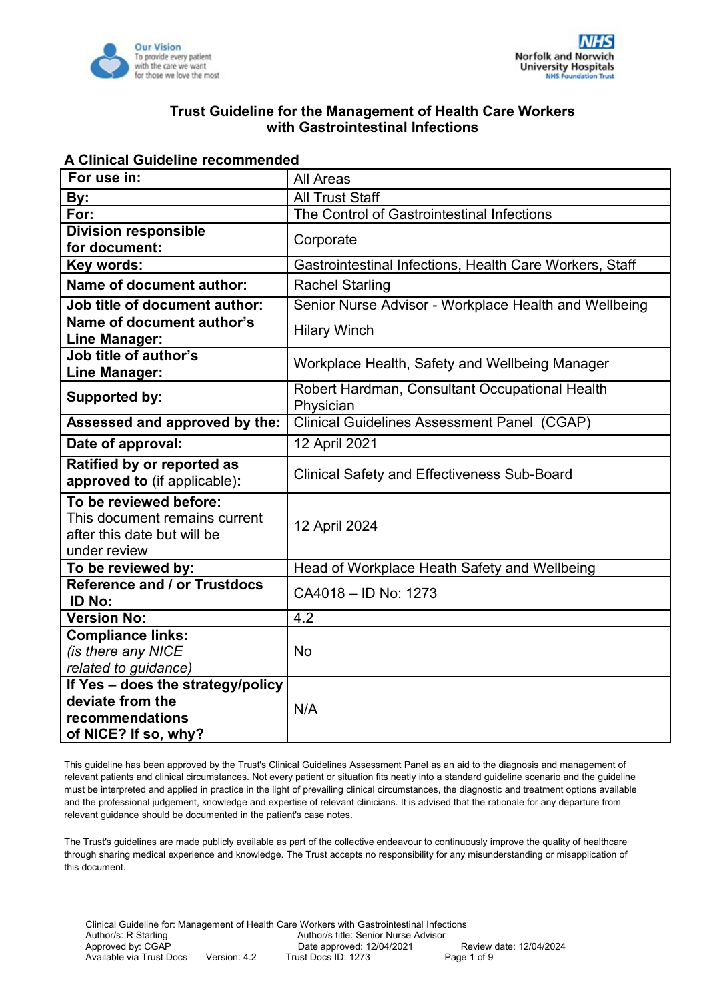



#### **A Clinical Guideline recommended**

| For use in:                                                                                            | All Areas                                                   |  |  |  |
|--------------------------------------------------------------------------------------------------------|-------------------------------------------------------------|--|--|--|
| By:                                                                                                    | All Trust Staff                                             |  |  |  |
| For:                                                                                                   | The Control of Gastrointestinal Infections                  |  |  |  |
| <b>Division responsible</b><br>for document:                                                           | Corporate                                                   |  |  |  |
| Key words:                                                                                             | Gastrointestinal Infections, Health Care Workers, Staff     |  |  |  |
| <b>Name of document author:</b>                                                                        | <b>Rachel Starling</b>                                      |  |  |  |
| Job title of document author:                                                                          | Senior Nurse Advisor - Workplace Health and Wellbeing       |  |  |  |
| Name of document author's<br>Line Manager:                                                             | <b>Hilary Winch</b>                                         |  |  |  |
| Job title of author's<br>Line Manager:                                                                 | Workplace Health, Safety and Wellbeing Manager              |  |  |  |
| <b>Supported by:</b>                                                                                   | Robert Hardman, Consultant Occupational Health<br>Physician |  |  |  |
| Assessed and approved by the:                                                                          | <b>Clinical Guidelines Assessment Panel (CGAP)</b>          |  |  |  |
| Date of approval:                                                                                      | 12 April 2021                                               |  |  |  |
| Ratified by or reported as<br>approved to (if applicable):                                             | <b>Clinical Safety and Effectiveness Sub-Board</b>          |  |  |  |
| To be reviewed before:<br>This document remains current<br>after this date but will be<br>under review | 12 April 2024                                               |  |  |  |
| To be reviewed by:                                                                                     | Head of Workplace Heath Safety and Wellbeing                |  |  |  |
| <b>Reference and / or Trustdocs</b><br><b>ID No:</b>                                                   | CA4018 - ID No: 1273                                        |  |  |  |
| <b>Version No:</b>                                                                                     | 4.2                                                         |  |  |  |
| <b>Compliance links:</b><br>(is there any NICE<br>related to guidance)                                 | <b>No</b>                                                   |  |  |  |
| If Yes - does the strategy/policy<br>deviate from the<br>recommendations<br>of NICE? If so, why?       | N/A                                                         |  |  |  |

This guideline has been approved by the Trust's Clinical Guidelines Assessment Panel as an aid to the diagnosis and management of relevant patients and clinical circumstances. Not every patient or situation fits neatly into a standard guideline scenario and the guideline must be interpreted and applied in practice in the light of prevailing clinical circumstances, the diagnostic and treatment options available and the professional judgement, knowledge and expertise of relevant clinicians. It is advised that the rationale for any departure from relevant guidance should be documented in the patient's case notes.

The Trust's guidelines are made publicly available as part of the collective endeavour to continuously improve the quality of healthcare through sharing medical experience and knowledge. The Trust accepts no responsibility for any misunderstanding or misapplication of this document.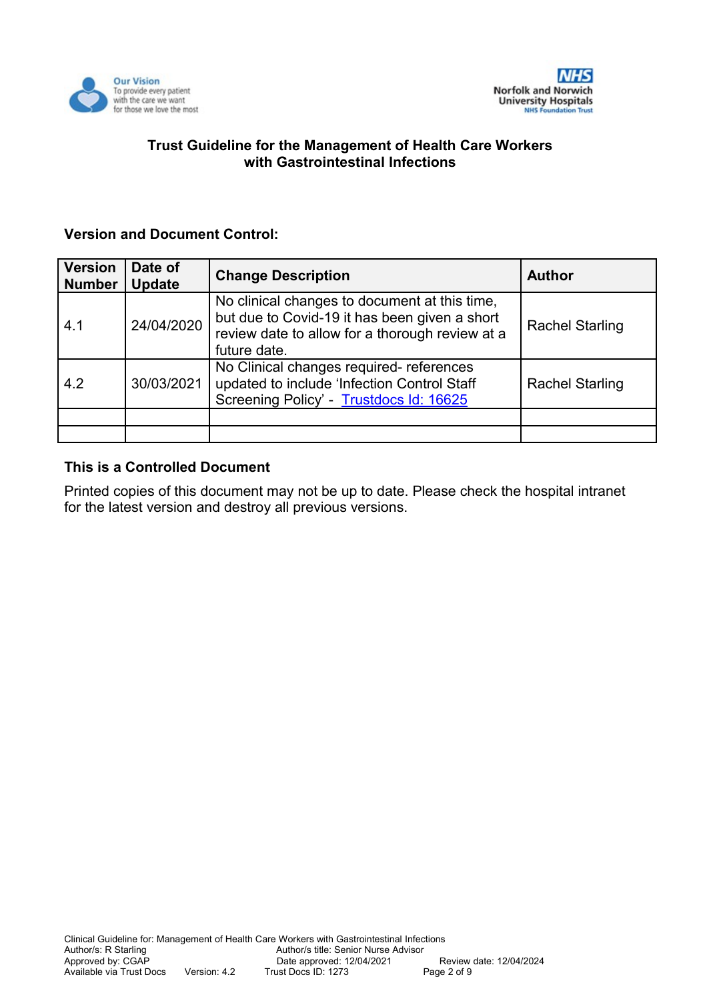

# **Version and Document Control:**

| <b>Version</b><br><b>Number</b> | Date of<br><b>Update</b> | <b>Change Description</b>                                                                                                                                         | <b>Author</b>          |
|---------------------------------|--------------------------|-------------------------------------------------------------------------------------------------------------------------------------------------------------------|------------------------|
| 4.1                             | 24/04/2020               | No clinical changes to document at this time,<br>but due to Covid-19 it has been given a short<br>review date to allow for a thorough review at a<br>future date. | <b>Rachel Starling</b> |
| 4.2                             | 30/03/2021               | No Clinical changes required- references<br>updated to include 'Infection Control Staff<br>Screening Policy' - Trustdocs Id: 16625                                | <b>Rachel Starling</b> |
|                                 |                          |                                                                                                                                                                   |                        |
|                                 |                          |                                                                                                                                                                   |                        |

## **This is a Controlled Document**

Printed copies of this document may not be up to date. Please check the hospital intranet for the latest version and destroy all previous versions.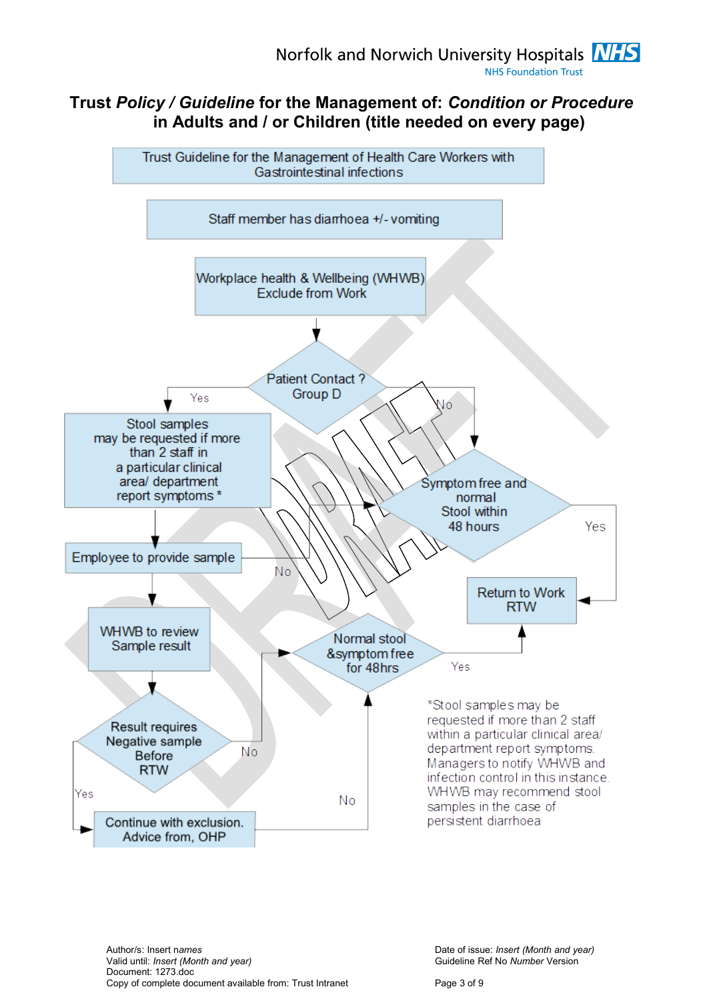# **Trust** *Policy / Guideline* **for the Management of:** *Condition or Procedure* **in Adults and / or Children (title needed on every page)**

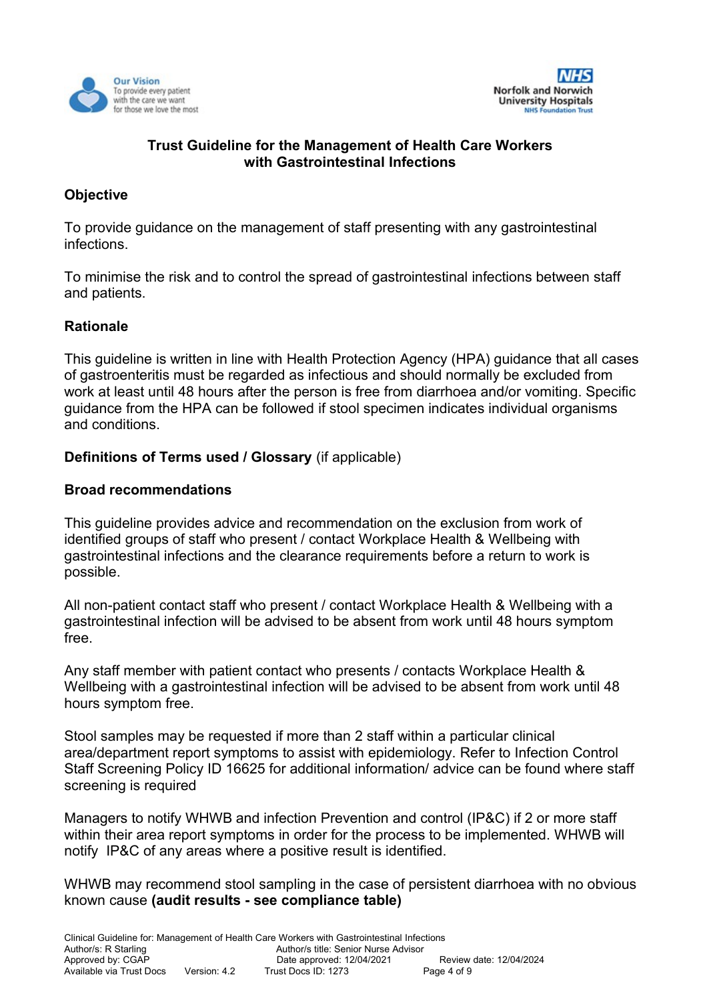



# **Objective**

To provide guidance on the management of staff presenting with any gastrointestinal infections.

To minimise the risk and to control the spread of gastrointestinal infections between staff and patients.

## **Rationale**

This guideline is written in line with Health Protection Agency (HPA) guidance that all cases of gastroenteritis must be regarded as infectious and should normally be excluded from work at least until 48 hours after the person is free from diarrhoea and/or vomiting. Specific guidance from the HPA can be followed if stool specimen indicates individual organisms and conditions.

## **Definitions of Terms used / Glossary** (if applicable)

#### **Broad recommendations**

This guideline provides advice and recommendation on the exclusion from work of identified groups of staff who present / contact Workplace Health & Wellbeing with gastrointestinal infections and the clearance requirements before a return to work is possible.

All non-patient contact staff who present / contact Workplace Health & Wellbeing with a gastrointestinal infection will be advised to be absent from work until 48 hours symptom free.

Any staff member with patient contact who presents / contacts Workplace Health & Wellbeing with a gastrointestinal infection will be advised to be absent from work until 48 hours symptom free.

Stool samples may be requested if more than 2 staff within a particular clinical area/department report symptoms to assist with epidemiology. Refer to Infection Control Staff Screening Policy ID 16625 for additional information/ advice can be found where staff screening is required

Managers to notify WHWB and infection Prevention and control (IP&C) if 2 or more staff within their area report symptoms in order for the process to be implemented. WHWB will notify IP&C of any areas where a positive result is identified.

WHWB may recommend stool sampling in the case of persistent diarrhoea with no obvious known cause **(audit results - see compliance table)**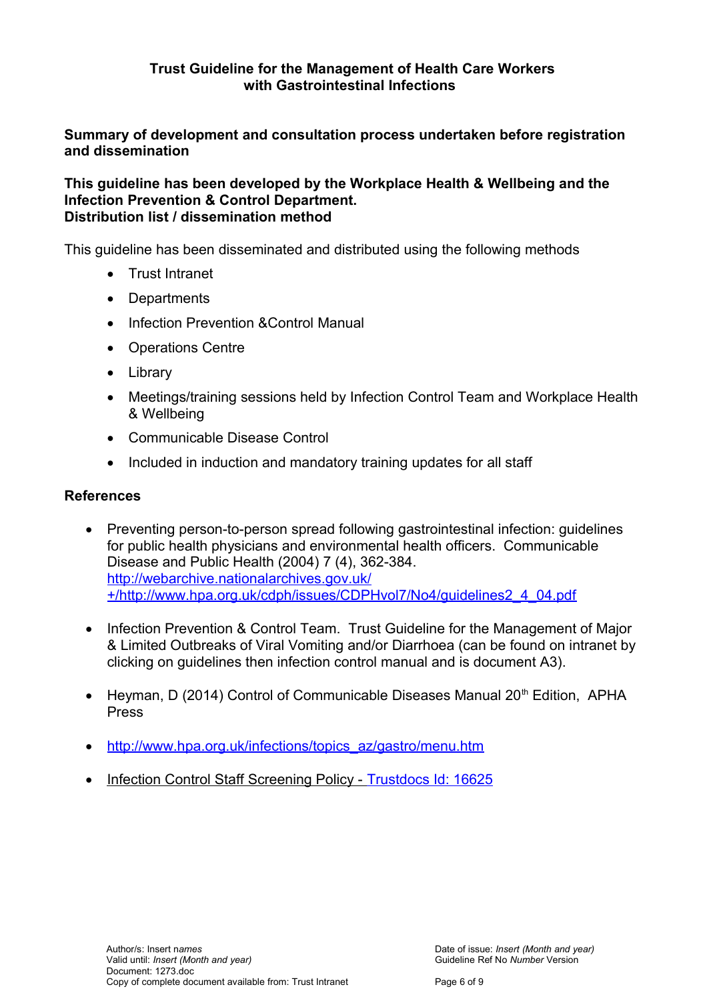**Summary of development and consultation process undertaken before registration and dissemination**

**This guideline has been developed by the Workplace Health & Wellbeing and the Infection Prevention & Control Department. Distribution list / dissemination method**

This guideline has been disseminated and distributed using the following methods

- Trust Intranet
- Departments
- Infection Prevention & Control Manual
- Operations Centre
- Library
- Meetings/training sessions held by Infection Control Team and Workplace Health & Wellbeing
- Communicable Disease Control
- Included in induction and mandatory training updates for all staff

## **References**

- Preventing person-to-person spread following gastrointestinal infection: guidelines for public health physicians and environmental health officers. Communicable Disease and Public Health (2004) 7 (4), 362-384. [http://webarchive.nationalarchives.gov.uk/](http://webarchive.nationalarchives.gov.uk/+/http://www.hpa.org.uk/cdph/issues/CDPHvol7/No4/guidelines2_4_04.pdf) [+/http://www.hpa.org.uk/cdph/issues/CDPHvol7/No4/guidelines2\\_4\\_04.pdf](http://webarchive.nationalarchives.gov.uk/+/http://www.hpa.org.uk/cdph/issues/CDPHvol7/No4/guidelines2_4_04.pdf)
- Infection Prevention & Control Team. Trust Guideline for the Management of Major & Limited Outbreaks of Viral Vomiting and/or Diarrhoea (can be found on intranet by clicking on guidelines then infection control manual and is document A3).
- Heyman, D (2014) Control of Communicable Diseases Manual 20<sup>th</sup> Edition, APHA Press
- [http://www.hpa.org.uk/infections/topics\\_az/gastro/menu.htm](http://www.hpa.org.uk/infections/topics_az/gastro/menu.htm)
- Infection Control Staff Screening Policy - [Trustdocs Id: 16625](http://trustdocs/Doc.aspx?id=16625)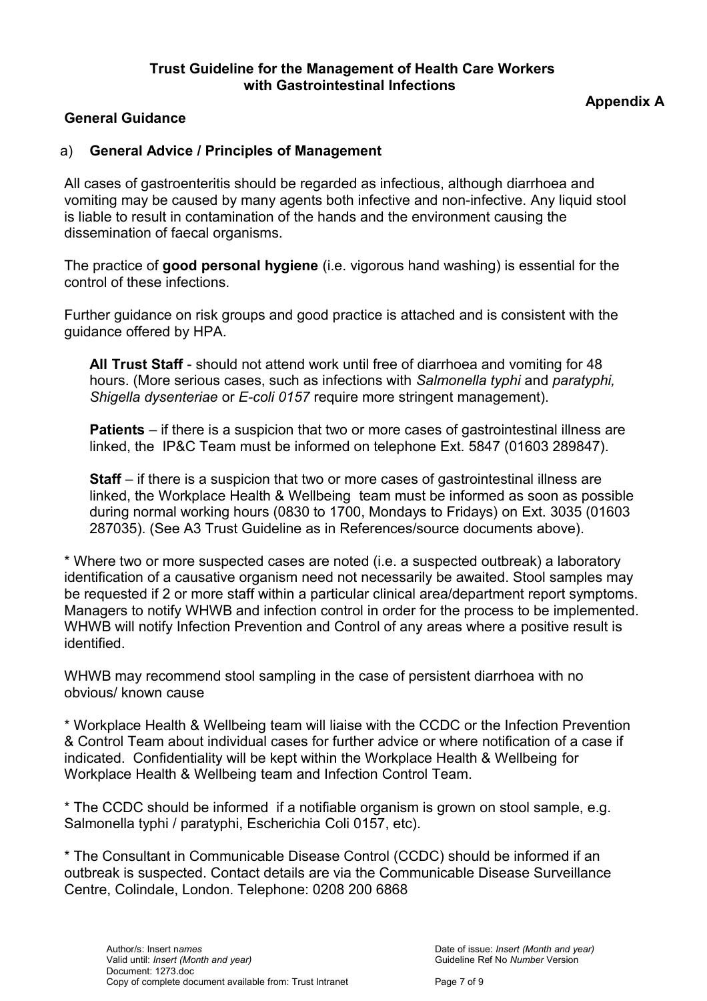## **General Guidance**

# **Appendix A**

## a) **General Advice / Principles of Management**

All cases of gastroenteritis should be regarded as infectious, although diarrhoea and vomiting may be caused by many agents both infective and non-infective. Any liquid stool is liable to result in contamination of the hands and the environment causing the dissemination of faecal organisms.

The practice of **good personal hygiene** (i.e. vigorous hand washing) is essential for the control of these infections.

Further guidance on risk groups and good practice is attached and is consistent with the guidance offered by HPA.

**All Trust Staff** - should not attend work until free of diarrhoea and vomiting for 48 hours. (More serious cases, such as infections with *Salmonella typhi* and *paratyphi, Shigella dysenteriae* or *E-coli 0157* require more stringent management).

**Patients** – if there is a suspicion that two or more cases of gastrointestinal illness are linked, the IP&C Team must be informed on telephone Ext. 5847 (01603 289847).

**Staff** – if there is a suspicion that two or more cases of gastrointestinal illness are linked, the Workplace Health & Wellbeing team must be informed as soon as possible during normal working hours (0830 to 1700, Mondays to Fridays) on Ext. 3035 (01603 287035). (See A3 Trust Guideline as in References/source documents above).

\* Where two or more suspected cases are noted (i.e. a suspected outbreak) a laboratory identification of a causative organism need not necessarily be awaited. Stool samples may be requested if 2 or more staff within a particular clinical area/department report symptoms. Managers to notify WHWB and infection control in order for the process to be implemented. WHWB will notify Infection Prevention and Control of any areas where a positive result is identified.

WHWB may recommend stool sampling in the case of persistent diarrhoea with no obvious/ known cause

\* Workplace Health & Wellbeing team will liaise with the CCDC or the Infection Prevention & Control Team about individual cases for further advice or where notification of a case if indicated. Confidentiality will be kept within the Workplace Health & Wellbeing for Workplace Health & Wellbeing team and Infection Control Team.

\* The CCDC should be informed if a notifiable organism is grown on stool sample, e.g. Salmonella typhi / paratyphi, Escherichia Coli 0157, etc).

\* The Consultant in Communicable Disease Control (CCDC) should be informed if an outbreak is suspected. Contact details are via the Communicable Disease Surveillance Centre, Colindale, London. Telephone: 0208 200 6868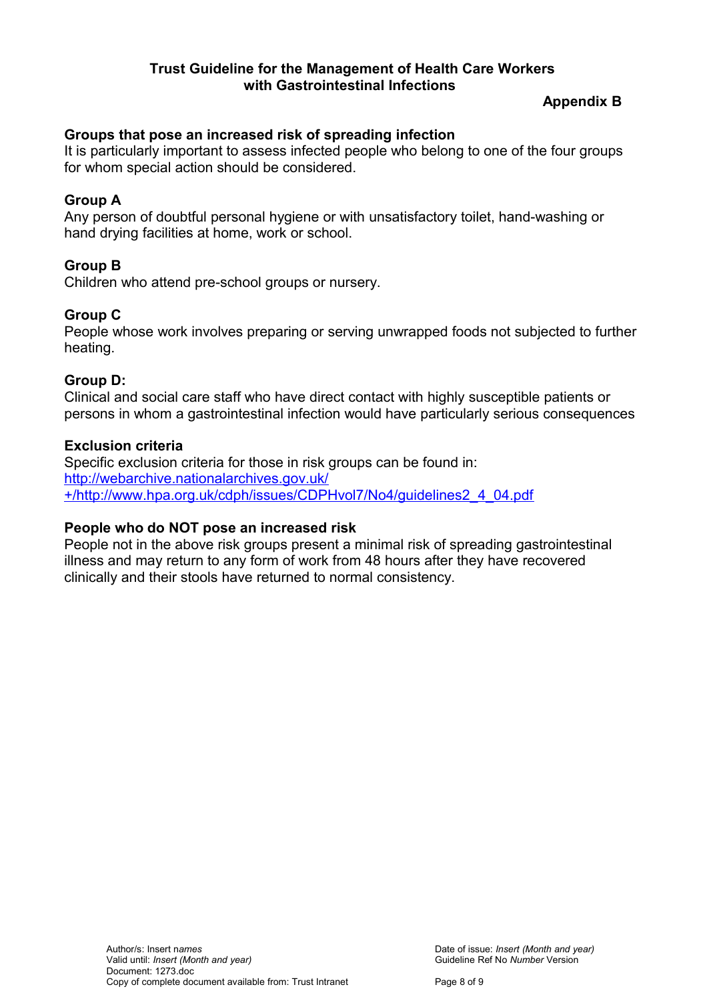# **Appendix B**

# **Groups that pose an increased risk of spreading infection**

It is particularly important to assess infected people who belong to one of the four groups for whom special action should be considered.

# **Group A**

Any person of doubtful personal hygiene or with unsatisfactory toilet, hand-washing or hand drying facilities at home, work or school.

# **Group B**

Children who attend pre-school groups or nursery.

## **Group C**

People whose work involves preparing or serving unwrapped foods not subjected to further heating.

## **Group D:**

Clinical and social care staff who have direct contact with highly susceptible patients or persons in whom a gastrointestinal infection would have particularly serious consequences

## **Exclusion criteria**

Specific exclusion criteria for those in risk groups can be found in: [http://webarchive.nationalarchives.gov.uk/](http://webarchive.nationalarchives.gov.uk/+/http://www.hpa.org.uk/cdph/issues/CDPHvol7/No4/guidelines2_4_04.pdf) [+/http://www.hpa.org.uk/cdph/issues/CDPHvol7/No4/guidelines2\\_4\\_04.pdf](http://webarchive.nationalarchives.gov.uk/+/http://www.hpa.org.uk/cdph/issues/CDPHvol7/No4/guidelines2_4_04.pdf)

## **People who do NOT pose an increased risk**

People not in the above risk groups present a minimal risk of spreading gastrointestinal illness and may return to any form of work from 48 hours after they have recovered clinically and their stools have returned to normal consistency.